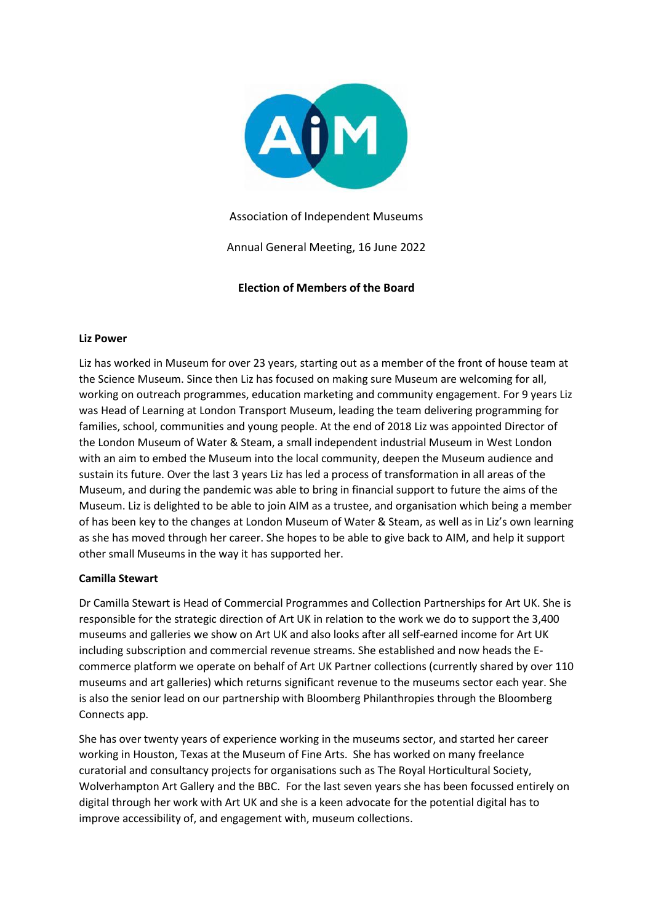

Association of Independent Museums

Annual General Meeting, 16 June 2022

**Election of Members of the Board**

## **Liz Power**

Liz has worked in Museum for over 23 years, starting out as a member of the front of house team at the Science Museum. Since then Liz has focused on making sure Museum are welcoming for all, working on outreach programmes, education marketing and community engagement. For 9 years Liz was Head of Learning at London Transport Museum, leading the team delivering programming for families, school, communities and young people. At the end of 2018 Liz was appointed Director of the London Museum of Water & Steam, a small independent industrial Museum in West London with an aim to embed the Museum into the local community, deepen the Museum audience and sustain its future. Over the last 3 years Liz has led a process of transformation in all areas of the Museum, and during the pandemic was able to bring in financial support to future the aims of the Museum. Liz is delighted to be able to join AIM as a trustee, and organisation which being a member of has been key to the changes at London Museum of Water & Steam, as well as in Liz's own learning as she has moved through her career. She hopes to be able to give back to AIM, and help it support other small Museums in the way it has supported her.

## **Camilla Stewart**

Dr Camilla Stewart is Head of Commercial Programmes and Collection Partnerships for Art UK. She is responsible for the strategic direction of Art UK in relation to the work we do to support the 3,400 museums and galleries we show on Art UK and also looks after all self-earned income for Art UK including subscription and commercial revenue streams. She established and now heads the Ecommerce platform we operate on behalf of Art UK Partner collections (currently shared by over 110 museums and art galleries) which returns significant revenue to the museums sector each year. She is also the senior lead on our partnership with Bloomberg Philanthropies through the Bloomberg Connects app.

She has over twenty years of experience working in the museums sector, and started her career working in Houston, Texas at the Museum of Fine Arts. She has worked on many freelance curatorial and consultancy projects for organisations such as The Royal Horticultural Society, Wolverhampton Art Gallery and the BBC. For the last seven years she has been focussed entirely on digital through her work with Art UK and she is a keen advocate for the potential digital has to improve accessibility of, and engagement with, museum collections.